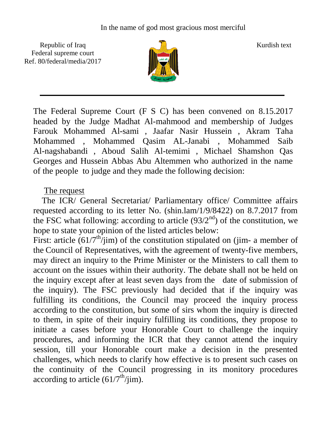Republic of Iraq  $\frac{1}{2}$   $\frac{1}{2}$  Kurdish text Federal supreme court Ref. 80/federal/media/2017



The Federal Supreme Court (F S C) has been convened on 8.15.2017 headed by the Judge Madhat Al-mahmood and membership of Judges Farouk Mohammed Al-sami , Jaafar Nasir Hussein , Akram Taha Mohammed , Mohammed Qasim AL-Janabi , Mohammed Saib Al-nagshabandi , Aboud Salih Al-temimi , Michael Shamshon Qas Georges and Hussein Abbas Abu Altemmen who authorized in the name of the people to judge and they made the following decision:

## The request

 The ICR/ General Secretariat/ Parliamentary office/ Committee affairs requested according to its letter No. (shin.lam/1/9/8422) on 8.7.2017 from the FSC what following: according to article  $(93/2<sup>nd</sup>)$  of the constitution, we hope to state your opinion of the listed articles below:

First: article  $(61/7^{\text{th}}/j\text{im})$  of the constitution stipulated on (jim- a member of the Council of Representatives, with the agreement of twenty-five members, may direct an inquiry to the Prime Minister or the Ministers to call them to account on the issues within their authority. The debate shall not be held on the inquiry except after at least seven days from the date of submission of the inquiry). The FSC previously had decided that if the inquiry was fulfilling its conditions, the Council may proceed the inquiry process according to the constitution, but some of sirs whom the inquiry is directed to them, in spite of their inquiry fulfilling its conditions, they propose to initiate a cases before your Honorable Court to challenge the inquiry procedures, and informing the ICR that they cannot attend the inquiry session, till your Honorable court make a decision in the presented challenges, which needs to clarify how effective is to present such cases on the continuity of the Council progressing in its monitory procedures according to article  $(61/7<sup>th</sup>/jim)$ .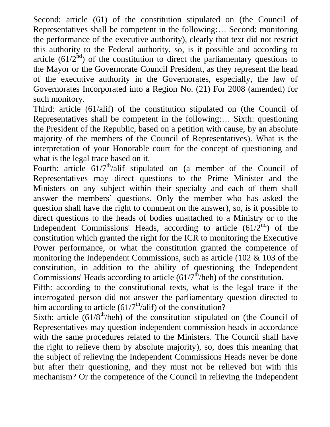Second: article (61) of the constitution stipulated on (the Council of Representatives shall be competent in the following:… Second: monitoring the performance of the executive authority), clearly that text did not restrict this authority to the Federal authority, so, is it possible and according to article  $(61/2<sup>nd</sup>)$  of the constitution to direct the parliamentary questions to the Mayor or the Governorate Council President, as they represent the head of the executive authority in the Governorates, especially, the law of Governorates Incorporated into a Region No. (21) For 2008 (amended) for such monitory.

Third: article (61/alif) of the constitution stipulated on (the Council of Representatives shall be competent in the following:… Sixth: questioning the President of the Republic, based on a petition with cause, by an absolute majority of the members of the Council of Representatives). What is the interpretation of your Honorable court for the concept of questioning and what is the legal trace based on it.

Fourth: article  $61/7^{\text{th}}$ /alif stipulated on (a member of the Council of Representatives may direct questions to the Prime Minister and the Ministers on any subject within their specialty and each of them shall answer the members' questions. Only the member who has asked the question shall have the right to comment on the answer), so, is it possible to direct questions to the heads of bodies unattached to a Ministry or to the Independent Commissions' Heads, according to article  $(61/2<sup>nd</sup>)$  of the constitution which granted the right for the ICR to monitoring the Executive Power performance, or what the constitution granted the competence of monitoring the Independent Commissions, such as article (102 & 103 of the constitution, in addition to the ability of questioning the Independent Commissions' Heads according to article  $(61/7<sup>th</sup>/heh)$  of the constitution.

Fifth: according to the constitutional texts, what is the legal trace if the interrogated person did not answer the parliamentary question directed to him according to article  $(61/7<sup>th</sup>/ali)$  of the constitution?

Sixth: article  $(61/8<sup>th</sup>/heh)$  of the constitution stipulated on (the Council of Representatives may question independent commission heads in accordance with the same procedures related to the Ministers. The Council shall have the right to relieve them by absolute majority), so, does this meaning that the subject of relieving the Independent Commissions Heads never be done but after their questioning, and they must not be relieved but with this mechanism? Or the competence of the Council in relieving the Independent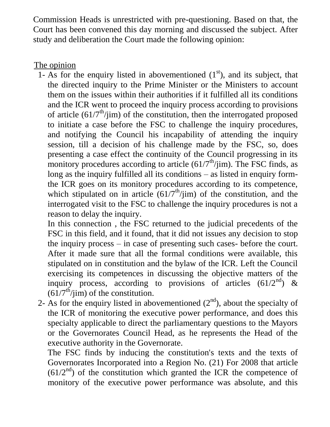Commission Heads is unrestricted with pre-questioning. Based on that, the Court has been convened this day morning and discussed the subject. After study and deliberation the Court made the following opinion:

## The opinion

1- As for the enquiry listed in abovementioned  $(1<sup>st</sup>)$ , and its subject, that the directed inquiry to the Prime Minister or the Ministers to account them on the issues within their authorities if it fulfilled all its conditions and the ICR went to proceed the inquiry process according to provisions of article  $(61/7<sup>th</sup>/jim)$  of the constitution, then the interrogated proposed to initiate a case before the FSC to challenge the inquiry procedures, and notifying the Council his incapability of attending the inquiry session, till a decision of his challenge made by the FSC, so, does presenting a case effect the continuity of the Council progressing in its monitory procedures according to article  $(61/7<sup>th</sup>/jim)$ . The FSC finds, as long as the inquiry fulfilled all its conditions – as listed in enquiry formthe ICR goes on its monitory procedures according to its competence, which stipulated on in article  $(61/7<sup>th</sup>/jim)$  of the constitution, and the interrogated visit to the FSC to challenge the inquiry procedures is not a reason to delay the inquiry.

In this connection , the FSC returned to the judicial precedents of the FSC in this field, and it found, that it did not issues any decision to stop the inquiry process – in case of presenting such cases- before the court. After it made sure that all the formal conditions were available, this stipulated on in constitution and the bylaw of the ICR. Left the Council exercising its competences in discussing the objective matters of the inquiry process, according to provisions of articles  $(61/2<sup>nd</sup>)$  &  $(61/7<sup>th</sup>/jim)$  of the constitution.

2- As for the enquiry listed in abovementioned  $(2<sup>nd</sup>)$ , about the specialty of the ICR of monitoring the executive power performance, and does this specialty applicable to direct the parliamentary questions to the Mayors or the Governorates Council Head, as he represents the Head of the executive authority in the Governorate.

The FSC finds by inducing the constitution's texts and the texts of Governorates Incorporated into a Region No. (21) For 2008 that article  $(61/2<sup>nd</sup>)$  of the constitution which granted the ICR the competence of monitory of the executive power performance was absolute, and this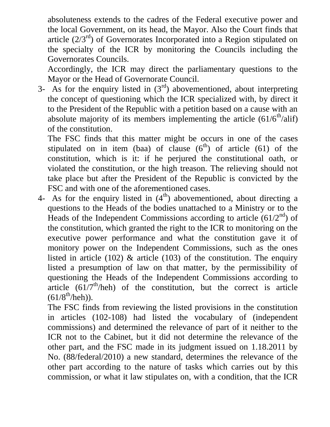absoluteness extends to the cadres of the Federal executive power and the local Government, on its head, the Mayor. Also the Court finds that article  $(2/3<sup>rd</sup>)$  of Governorates Incorporated into a Region stipulated on the specialty of the ICR by monitoring the Councils including the Governorates Councils.

Accordingly, the ICR may direct the parliamentary questions to the Mayor or the Head of Governorate Council.

3- As for the enquiry listed in  $(3<sup>rd</sup>)$  abovementioned, about interpreting the concept of questioning which the ICR specialized with, by direct it to the President of the Republic with a petition based on a cause with an absolute majority of its members implementing the article  $(61/6<sup>th</sup>/alif)$ of the constitution.

The FSC finds that this matter might be occurs in one of the cases stipulated on in item (baa) of clause  $(6<sup>th</sup>)$  of article (61) of the constitution, which is it: if he perjured the constitutional oath, or violated the constitution, or the high treason. The relieving should not take place but after the President of the Republic is convicted by the FSC and with one of the aforementioned cases.

4- As for the enquiry listed in  $(4<sup>th</sup>)$  abovementioned, about directing a questions to the Heads of the bodies unattached to a Ministry or to the Heads of the Independent Commissions according to article  $(61/2<sup>nd</sup>)$  of the constitution, which granted the right to the ICR to monitoring on the executive power performance and what the constitution gave it of monitory power on the Independent Commissions, such as the ones listed in article (102)  $\&$  article (103) of the constitution. The enquiry listed a presumption of law on that matter, by the permissibility of questioning the Heads of the Independent Commissions according to article  $(61/7^{\text{th}}/\text{heh})$  of the constitution, but the correct is article  $(61/8^{\text{th}}/\text{heh})$ ).

The FSC finds from reviewing the listed provisions in the constitution in articles (102-108) had listed the vocabulary of (independent commissions) and determined the relevance of part of it neither to the ICR not to the Cabinet, but it did not determine the relevance of the other part, and the FSC made in its judgment issued on 1.18.2011 by No. (88/federal/2010) a new standard, determines the relevance of the other part according to the nature of tasks which carries out by this commission, or what it law stipulates on, with a condition, that the ICR